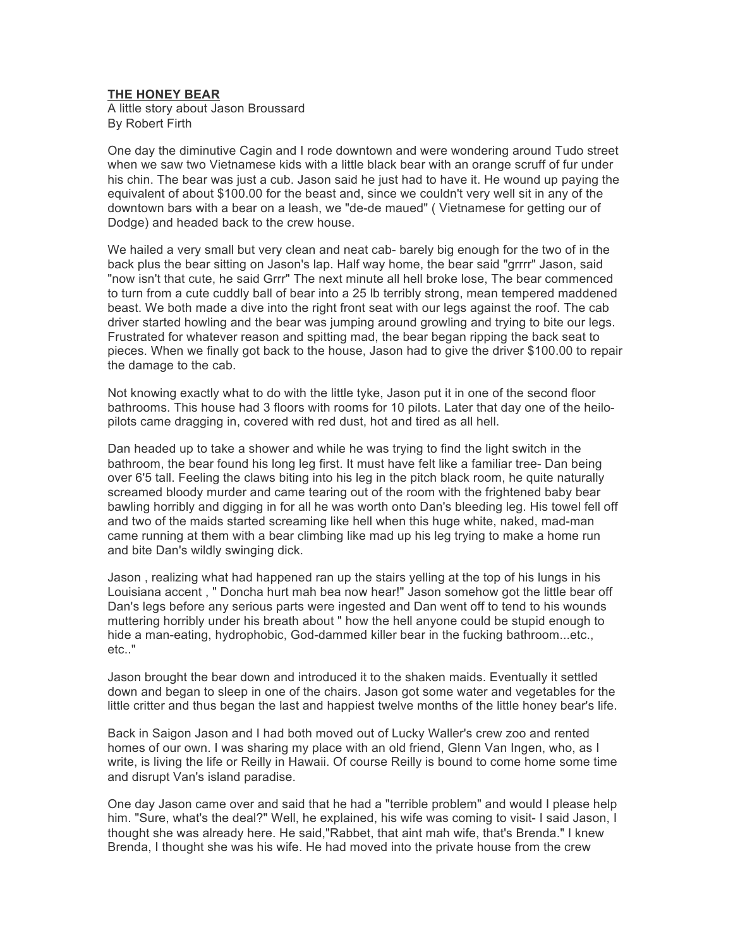## **THE HONEY BEAR**

A little story about Jason Broussard By Robert Firth

One day the diminutive Cagin and I rode downtown and were wondering around Tudo street when we saw two Vietnamese kids with a little black bear with an orange scruff of fur under his chin. The bear was just a cub. Jason said he just had to have it. He wound up paying the equivalent of about \$100.00 for the beast and, since we couldn't very well sit in any of the downtown bars with a bear on a leash, we "de-de maued" ( Vietnamese for getting our of Dodge) and headed back to the crew house.

We hailed a very small but very clean and neat cab- barely big enough for the two of in the back plus the bear sitting on Jason's lap. Half way home, the bear said "grrrr" Jason, said "now isn't that cute, he said Grrr" The next minute all hell broke lose, The bear commenced to turn from a cute cuddly ball of bear into a 25 lb terribly strong, mean tempered maddened beast. We both made a dive into the right front seat with our legs against the roof. The cab driver started howling and the bear was jumping around growling and trying to bite our legs. Frustrated for whatever reason and spitting mad, the bear began ripping the back seat to pieces. When we finally got back to the house, Jason had to give the driver \$100.00 to repair the damage to the cab.

Not knowing exactly what to do with the little tyke, Jason put it in one of the second floor bathrooms. This house had 3 floors with rooms for 10 pilots. Later that day one of the heilopilots came dragging in, covered with red dust, hot and tired as all hell.

Dan headed up to take a shower and while he was trying to find the light switch in the bathroom, the bear found his long leg first. It must have felt like a familiar tree- Dan being over 6'5 tall. Feeling the claws biting into his leg in the pitch black room, he quite naturally screamed bloody murder and came tearing out of the room with the frightened baby bear bawling horribly and digging in for all he was worth onto Dan's bleeding leg. His towel fell off and two of the maids started screaming like hell when this huge white, naked, mad-man came running at them with a bear climbing like mad up his leg trying to make a home run and bite Dan's wildly swinging dick.

Jason , realizing what had happened ran up the stairs yelling at the top of his lungs in his Louisiana accent , " Donсha hurt mah bea now hear!" Jason somehow got the little bear off Dan's legs before any serious parts were ingested and Dan went off to tend to his wounds muttering horribly under his breath about " how the hell anyone could be stupid enough to hide a man-eating, hydrophobic, God-dammed killer bear in the fucking bathroom...etc., etc.."

Jason brought the bear down and introduced it to the shaken maids. Eventually it settled down and began to sleep in one of the chairs. Jason got some water and vegetables for the little critter and thus began the last and happiest twelve months of the little honey bear's life.

Back in Saigon Jason and I had both moved out of Lucky Waller's crew zoo and rented homes of our own. I was sharing my place with an old friend, Glenn Van Ingen, who, as I write, is living the life or Reilly in Hawaii. Of course Reilly is bound to come home some time and disrupt Van's island paradise.

One day Jason came over and said that he had a "terrible problem" and would I please help him. "Sure, what's the deal?" Well, he explained, his wife was coming to visit- I said Jason, I thought she was already here. He said,"Rabbet, that aint mah wife, that's Brenda." I knew Brenda, I thought she was his wife. He had moved into the private house from the crew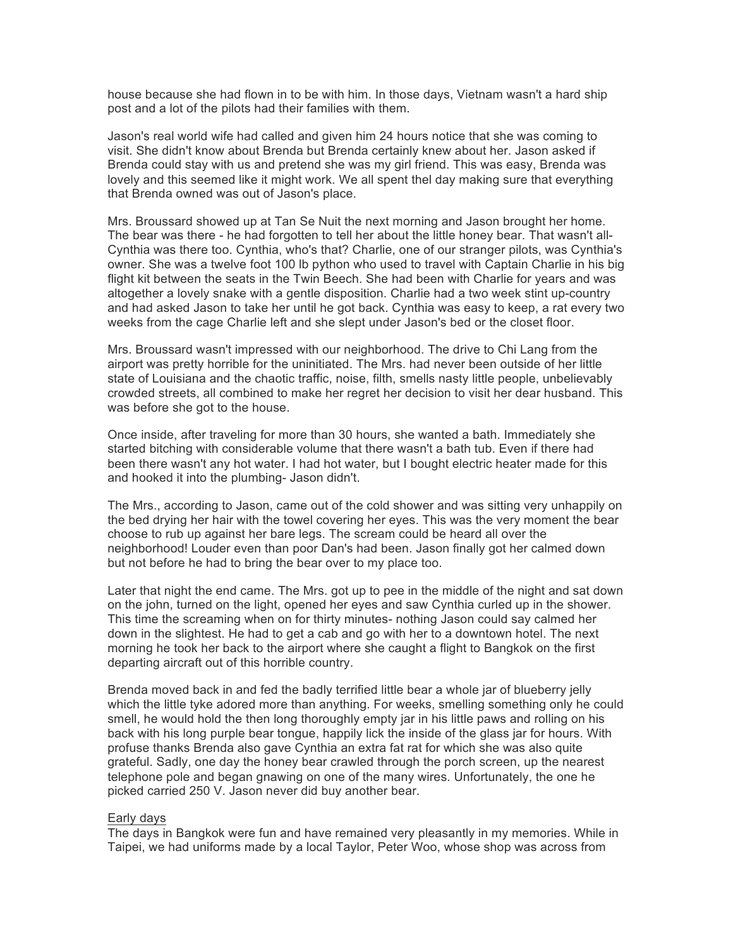house because she had flown in to be with him. In those days, Vietnam wasn't a hard ship post and a lot of the pilots had their families with them.

Jason's real world wife had called and given him 24 hours notice that she was coming to visit. She didn't know about Brenda but Brenda certainly knew about her. Jason asked if Brenda could stay with us and pretend she was my girl friend. This was easy, Brenda was lovely and this seemed like it might work. We all spent thel day making sure that everything that Brenda owned was out of Jason's place.

Mrs. Broussard showed up at Tan Se Nuit the next morning and Jason brought her home. The bear was there - he had forgotten to tell her about the little honey bear. That wasn't all-Cynthia was there too. Cynthia, who's that? Charlie, one of our stranger pilots, was Cynthia's owner. She was a twelve foot 100 lb python who used to travel with Captain Charlie in his big flight kit between the seats in the Twin Beech. She had been with Charlie for years and was altogether a lovely snake with a gentle disposition. Charlie had a two week stint up-country and had asked Jason to take her until he got back. Cynthia was easy to keep, a rat every two weeks from the cage Charlie left and she slept under Jason's bed or the closet floor.

Mrs. Broussard wasn't impressed with our neighborhood. The drive to Chi Lang from the airport was pretty horrible for the uninitiated. The Mrs. had never been outside of her little state of Louisiana and the chaotic traffic, noise, filth, smells nasty little people, unbelievably crowded streets, all combined to make her regret her decision to visit her dear husband. This was before she got to the house.

Once inside, after traveling for more than 30 hours, she wanted a bath. Immediately she started bitching with considerable volume that there wasn't a bath tub. Even if there had been there wasn't any hot water. I had hot water, but I bought electric heater made for this and hooked it into the plumbing- Jason didn't.

The Mrs., according to Jason, came out of the cold shower and was sitting very unhappily on the bed drying her hair with the towel covering her eyes. This was the very moment the bear choose to rub up against her bare legs. The scream could be heard all over the neighborhood! Louder even than poor Dan's had been. Jason finally got her calmed down but not before he had to bring the bear over to my place too.

Later that night the end came. The Mrs. got up to pee in the middle of the night and sat down on the john, turned on the light, opened her eyes and saw Cynthia curled up in the shower. This time the screaming when on for thirty minutes- nothing Jason could say calmed her down in the slightest. He had to get a cab and go with her to a downtown hotel. The next morning he took her back to the airport where she caught a flight to Bangkok on the first departing aircraft out of this horrible country.

Brenda moved back in and fed the badly terrified little bear a whole jar of blueberry jelly which the little tyke adored more than anything. For weeks, smelling something only he could smell, he would hold the then long thoroughly empty jar in his little paws and rolling on his back with his long purple bear tongue, happily lick the inside of the glass jar for hours. With profuse thanks Brenda also gave Cynthia an extra fat rat for which she was also quite grateful. Sadly, one day the honey bear crawled through the porch screen, up the nearest telephone pole and began gnawing on one of the many wires. Unfortunately, the one he picked carried 250 V. Jason never did buy another bear.

## Early days

The days in Bangkok were fun and have remained very pleasantly in my memories. While in Taipei, we had uniforms made by a local Taylor, Peter Woo, whose shop was across from